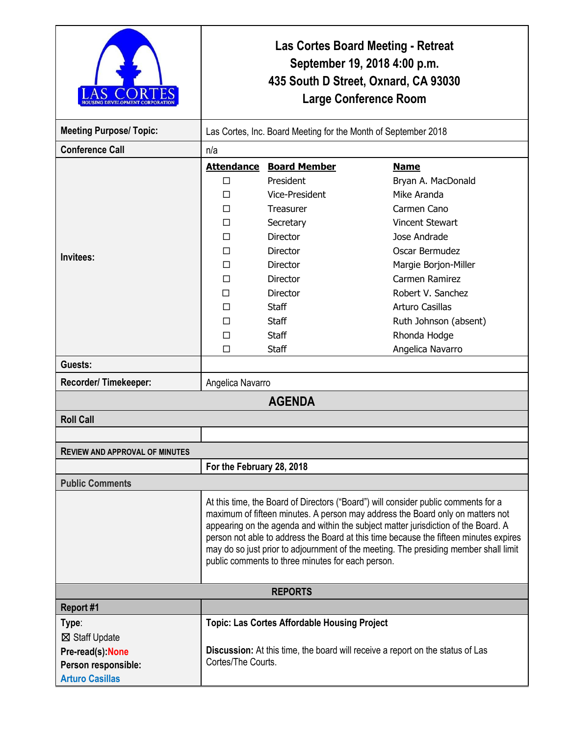|                                       | <b>Las Cortes Board Meeting - Retreat</b><br>September 19, 2018 4:00 p.m.<br>435 South D Street, Oxnard, CA 93030<br><b>Large Conference Room</b>                                                                                                                                                                                                                                                                                                                                                |                                                     |                        |  |
|---------------------------------------|--------------------------------------------------------------------------------------------------------------------------------------------------------------------------------------------------------------------------------------------------------------------------------------------------------------------------------------------------------------------------------------------------------------------------------------------------------------------------------------------------|-----------------------------------------------------|------------------------|--|
| <b>Meeting Purpose/ Topic:</b>        | Las Cortes, Inc. Board Meeting for the Month of September 2018                                                                                                                                                                                                                                                                                                                                                                                                                                   |                                                     |                        |  |
| <b>Conference Call</b>                | n/a                                                                                                                                                                                                                                                                                                                                                                                                                                                                                              |                                                     |                        |  |
|                                       |                                                                                                                                                                                                                                                                                                                                                                                                                                                                                                  | <b>Attendance Board Member</b>                      | <b>Name</b>            |  |
|                                       | П                                                                                                                                                                                                                                                                                                                                                                                                                                                                                                | President                                           | Bryan A. MacDonald     |  |
|                                       | П                                                                                                                                                                                                                                                                                                                                                                                                                                                                                                | Vice-President                                      | Mike Aranda            |  |
|                                       | П                                                                                                                                                                                                                                                                                                                                                                                                                                                                                                | <b>Treasurer</b>                                    | Carmen Cano            |  |
|                                       | П                                                                                                                                                                                                                                                                                                                                                                                                                                                                                                | Secretary                                           | <b>Vincent Stewart</b> |  |
|                                       | П                                                                                                                                                                                                                                                                                                                                                                                                                                                                                                | <b>Director</b>                                     | Jose Andrade           |  |
|                                       | П                                                                                                                                                                                                                                                                                                                                                                                                                                                                                                | <b>Director</b>                                     | Oscar Bermudez         |  |
| Invitees:                             | п                                                                                                                                                                                                                                                                                                                                                                                                                                                                                                | <b>Director</b>                                     | Margie Borjon-Miller   |  |
|                                       | П                                                                                                                                                                                                                                                                                                                                                                                                                                                                                                | Director                                            | Carmen Ramirez         |  |
|                                       | п                                                                                                                                                                                                                                                                                                                                                                                                                                                                                                | <b>Director</b>                                     | Robert V. Sanchez      |  |
|                                       | П                                                                                                                                                                                                                                                                                                                                                                                                                                                                                                | <b>Staff</b>                                        | Arturo Casillas        |  |
|                                       | П                                                                                                                                                                                                                                                                                                                                                                                                                                                                                                | <b>Staff</b>                                        | Ruth Johnson (absent)  |  |
|                                       | ⊓                                                                                                                                                                                                                                                                                                                                                                                                                                                                                                | <b>Staff</b>                                        | Rhonda Hodge           |  |
|                                       | □                                                                                                                                                                                                                                                                                                                                                                                                                                                                                                | <b>Staff</b>                                        | Angelica Navarro       |  |
| Guests:                               |                                                                                                                                                                                                                                                                                                                                                                                                                                                                                                  |                                                     |                        |  |
| Recorder/Timekeeper:                  |                                                                                                                                                                                                                                                                                                                                                                                                                                                                                                  | Angelica Navarro                                    |                        |  |
|                                       |                                                                                                                                                                                                                                                                                                                                                                                                                                                                                                  | <b>AGENDA</b>                                       |                        |  |
| <b>Roll Call</b>                      |                                                                                                                                                                                                                                                                                                                                                                                                                                                                                                  |                                                     |                        |  |
|                                       |                                                                                                                                                                                                                                                                                                                                                                                                                                                                                                  |                                                     |                        |  |
| <b>REVIEW AND APPROVAL OF MINUTES</b> |                                                                                                                                                                                                                                                                                                                                                                                                                                                                                                  |                                                     |                        |  |
|                                       | For the February 28, 2018                                                                                                                                                                                                                                                                                                                                                                                                                                                                        |                                                     |                        |  |
| <b>Public Comments</b>                |                                                                                                                                                                                                                                                                                                                                                                                                                                                                                                  |                                                     |                        |  |
|                                       | At this time, the Board of Directors ("Board") will consider public comments for a<br>maximum of fifteen minutes. A person may address the Board only on matters not<br>appearing on the agenda and within the subject matter jurisdiction of the Board. A<br>person not able to address the Board at this time because the fifteen minutes expires<br>may do so just prior to adjournment of the meeting. The presiding member shall limit<br>public comments to three minutes for each person. |                                                     |                        |  |
|                                       |                                                                                                                                                                                                                                                                                                                                                                                                                                                                                                  | <b>REPORTS</b>                                      |                        |  |
| Report #1                             |                                                                                                                                                                                                                                                                                                                                                                                                                                                                                                  |                                                     |                        |  |
| Type:                                 |                                                                                                                                                                                                                                                                                                                                                                                                                                                                                                  | <b>Topic: Las Cortes Affordable Housing Project</b> |                        |  |
| ⊠ Staff Update                        |                                                                                                                                                                                                                                                                                                                                                                                                                                                                                                  |                                                     |                        |  |
| Pre-read(s): None                     | Discussion: At this time, the board will receive a report on the status of Las<br>Cortes/The Courts.                                                                                                                                                                                                                                                                                                                                                                                             |                                                     |                        |  |
| Person responsible:                   |                                                                                                                                                                                                                                                                                                                                                                                                                                                                                                  |                                                     |                        |  |
| <b>Arturo Casillas</b>                |                                                                                                                                                                                                                                                                                                                                                                                                                                                                                                  |                                                     |                        |  |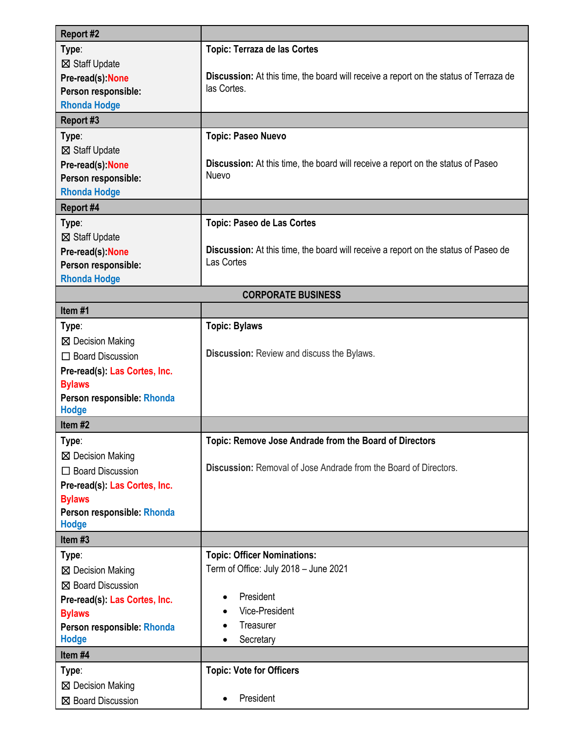| Report #2                                  |                                                                                              |  |  |  |
|--------------------------------------------|----------------------------------------------------------------------------------------------|--|--|--|
| Type:                                      | <b>Topic: Terraza de las Cortes</b>                                                          |  |  |  |
| ⊠ Staff Update                             |                                                                                              |  |  |  |
| Pre-read(s): None                          | <b>Discussion:</b> At this time, the board will receive a report on the status of Terraza de |  |  |  |
| Person responsible:                        | las Cortes.                                                                                  |  |  |  |
| <b>Rhonda Hodge</b>                        |                                                                                              |  |  |  |
| Report #3                                  |                                                                                              |  |  |  |
| Type:                                      | <b>Topic: Paseo Nuevo</b>                                                                    |  |  |  |
| ⊠ Staff Update                             |                                                                                              |  |  |  |
| Pre-read(s): None                          | Discussion: At this time, the board will receive a report on the status of Paseo             |  |  |  |
| Person responsible:                        | Nuevo                                                                                        |  |  |  |
| <b>Rhonda Hodge</b>                        |                                                                                              |  |  |  |
| Report #4                                  |                                                                                              |  |  |  |
| Type:                                      | <b>Topic: Paseo de Las Cortes</b>                                                            |  |  |  |
| ⊠ Staff Update                             |                                                                                              |  |  |  |
| Pre-read(s): None                          | Discussion: At this time, the board will receive a report on the status of Paseo de          |  |  |  |
| Person responsible:                        | Las Cortes                                                                                   |  |  |  |
| <b>Rhonda Hodge</b>                        |                                                                                              |  |  |  |
| <b>CORPORATE BUSINESS</b>                  |                                                                                              |  |  |  |
| Item#1                                     |                                                                                              |  |  |  |
| Type:                                      | <b>Topic: Bylaws</b>                                                                         |  |  |  |
| ⊠ Decision Making                          |                                                                                              |  |  |  |
| $\Box$ Board Discussion                    | Discussion: Review and discuss the Bylaws.                                                   |  |  |  |
| Pre-read(s): Las Cortes, Inc.              |                                                                                              |  |  |  |
| <b>Bylaws</b>                              |                                                                                              |  |  |  |
| Person responsible: Rhonda                 |                                                                                              |  |  |  |
| <b>Hodge</b>                               |                                                                                              |  |  |  |
| Item#2                                     |                                                                                              |  |  |  |
| Type:                                      | Topic: Remove Jose Andrade from the Board of Directors                                       |  |  |  |
| ⊠ Decision Making                          |                                                                                              |  |  |  |
| $\Box$ Board Discussion                    | <b>Discussion:</b> Removal of Jose Andrade from the Board of Directors.                      |  |  |  |
| Pre-read(s): Las Cortes, Inc.              |                                                                                              |  |  |  |
| <b>Bylaws</b>                              |                                                                                              |  |  |  |
| Person responsible: Rhonda                 |                                                                                              |  |  |  |
| <b>Hodge</b><br>Item #3                    |                                                                                              |  |  |  |
|                                            |                                                                                              |  |  |  |
| Type:                                      | <b>Topic: Officer Nominations:</b><br>Term of Office: July 2018 - June 2021                  |  |  |  |
| ⊠ Decision Making                          |                                                                                              |  |  |  |
| ⊠ Board Discussion                         | President<br>$\bullet$                                                                       |  |  |  |
| Pre-read(s): Las Cortes, Inc.              | Vice-President                                                                               |  |  |  |
| <b>Bylaws</b>                              | Treasurer                                                                                    |  |  |  |
| Person responsible: Rhonda<br><b>Hodge</b> | Secretary                                                                                    |  |  |  |
| Item #4                                    |                                                                                              |  |  |  |
|                                            | <b>Topic: Vote for Officers</b>                                                              |  |  |  |
| Type:                                      |                                                                                              |  |  |  |
| ⊠ Decision Making                          | President                                                                                    |  |  |  |
| ⊠ Board Discussion                         |                                                                                              |  |  |  |